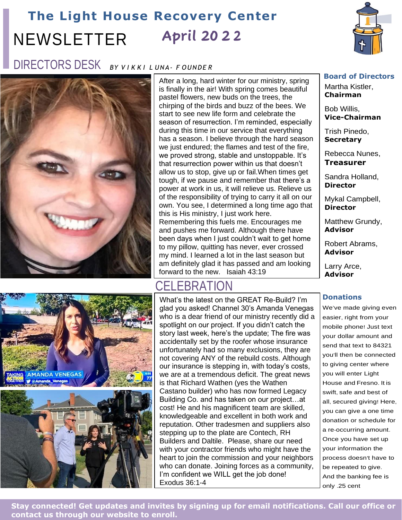### **The Light House Recovery Center** NEWSLETTER  **April 20 2 2**



## DIRECTORS DESK *BY V I K K I L UNA- F OUNDE <sup>R</sup>*



After a long, hard winter for our ministry, spring is finally in the air! With spring comes beautiful pastel flowers, new buds on the trees, the chirping of the birds and buzz of the bees. We start to see new life form and celebrate the season of resurrection. I'm reminded, especially during this time in our service that everything has a season. I believe through the hard season we just endured; the flames and test of the fire, we proved strong, stable and unstoppable. It's that resurrection power within us that doesn't allow us to stop, give up or fail.When times get tough, if we pause and remember that there's a power at work in us, it will relieve us. Relieve us of the responsibility of trying to carry it all on our own. You see, I determined a long time ago that this is His ministry, I just work here. Remembering this fuels me. Encourages me and pushes me forward. Although there have been days when I just couldn't wait to get home to my pillow, quitting has never, ever crossed my mind. I learned a lot in the last season but am definitely glad it has passed and am looking forward to the new. Isaiah 43:19



## CELEBRATION

What's the latest on the GREAT Re-Build? I'm glad you asked! Channel 30's Amanda Venegas who is a dear friend of our ministry recently did a spotlight on our project. If you didn't catch the story last week, here's the update; The fire was accidentally set by the roofer whose insurance unfortunately had so many exclusions, they are not covering ANY of the rebuild costs. Although our insurance is stepping in, with today's costs, we are at a tremendous deficit. The great news is that Richard Wathen (yes the Wathen Castano builder) who has now formed Legacy Building Co. and has taken on our project…at cost! He and his magnificent team are skilled, knowledgeable and excellent in both work and reputation. Other tradesmen and suppliers also stepping up to the plate are Contech, RH Builders and Daltile. Please, share our need with your contractor friends who might have the heart to join the commission and your neighbors who can donate. Joining forces as a community, I'm confident we WILL get the job done! Exodus 36:1-4

### **Board of Directors**

Martha Kistler, **Chairman**

Bob Willis, **Vice-Chairman**

Trish Pinedo, **Secretary**

Rebecca Nunes, **Treasurer**

Sandra Holland, **Director**

Mykal Campbell, **Director**

Matthew Grundy, **Advisor**

Robert Abrams, **Advisor**

Larry Arce, **Advisor**

### **Donations**

We've made giving even easier, right from your mobile phone! Just text your dollar amount and send that text to 84321 you'll then be connected to giving center where you will enter Light House and Fresno. It is swift, safe and best of all, secured giving! Here, you can give a one time donation or schedule for a re-occurring amount. Once you have set up your information the process doesn't have to be repeated to give. And the banking fee is only .25 cent

**Stay connected! Get updates and invites by signing up for email notifications. Call our office or contact us through our website to enroll.**